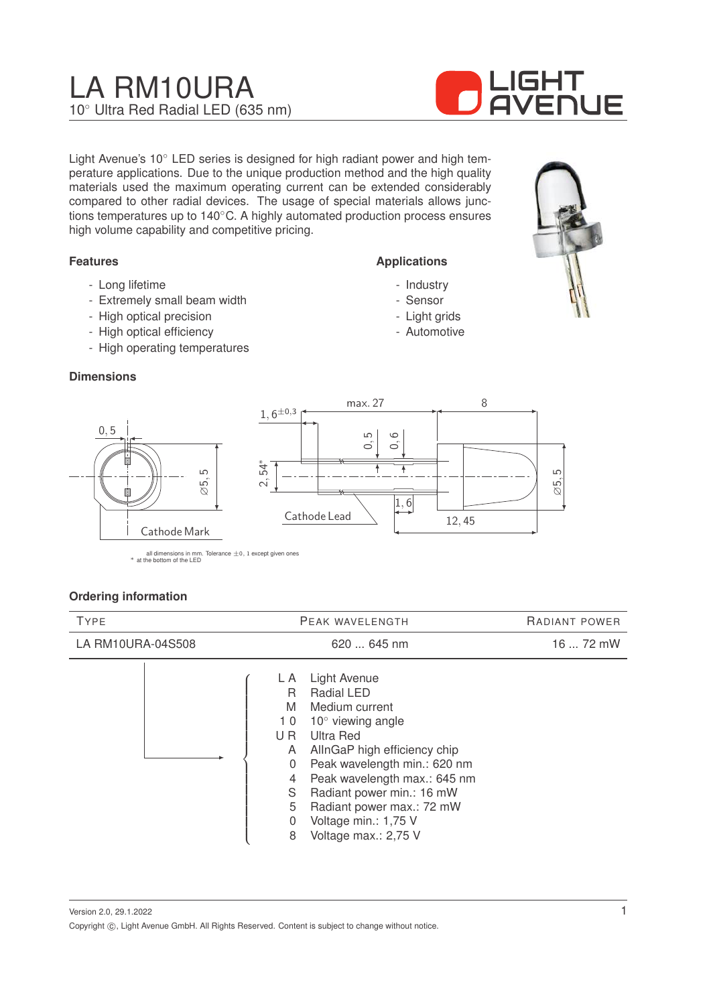# LA RM10URA 10◦ Ultra Red Radial LED (635 nm)



Light Avenue's 10° LED series is designed for high radiant power and high temperature applications. Due to the unique production method and the high quality materials used the maximum operating current can be extended considerably compared to other radial devices. The usage of special materials allows junctions temperatures up to 140◦C. A highly automated production process ensures high volume capability and competitive pricing.

#### **Features**

- Long lifetime
- Extremely small beam width
- High optical precision
- High optical efficiency
- High operating temperatures

#### **Dimensions**



all dimensions in mm. Tolerance  $\pm 0$ , 1 except given ones \* at the bottom of the LED

#### **Ordering information**

| <b>TYPE</b>       | PEAK WAVELENGTH                                                                                                                                                                                                                                                                                                                                                           | RADIANT POWER |
|-------------------|---------------------------------------------------------------------------------------------------------------------------------------------------------------------------------------------------------------------------------------------------------------------------------------------------------------------------------------------------------------------------|---------------|
| LA RM10URA-04S508 | 620  645 nm                                                                                                                                                                                                                                                                                                                                                               | 16  72 mW     |
|                   | <b>Light Avenue</b><br>L A<br>Radial LED<br>R<br>M<br>Medium current<br>$10^{\circ}$ viewing angle<br>10<br>Ultra Red<br>U R<br>AllnGaP high efficiency chip<br>A<br>Peak wavelength min.: 620 nm<br>0<br>Peak wavelength max.: 645 nm<br>4<br>S<br>Radiant power min.: 16 mW<br>5<br>Radiant power max.: 72 mW<br>Voltage min.: 1,75 V<br>0<br>Voltage max.: 2,75 V<br>8 |               |

Version 2.0, 29.1.2022 Copyright  $\circled{c}$ , Light Avenue GmbH. All Rights Reserved. Content is subject to change without notice.

# **Applications**

- Industry
- Sensor
- Light grids
- Automotive

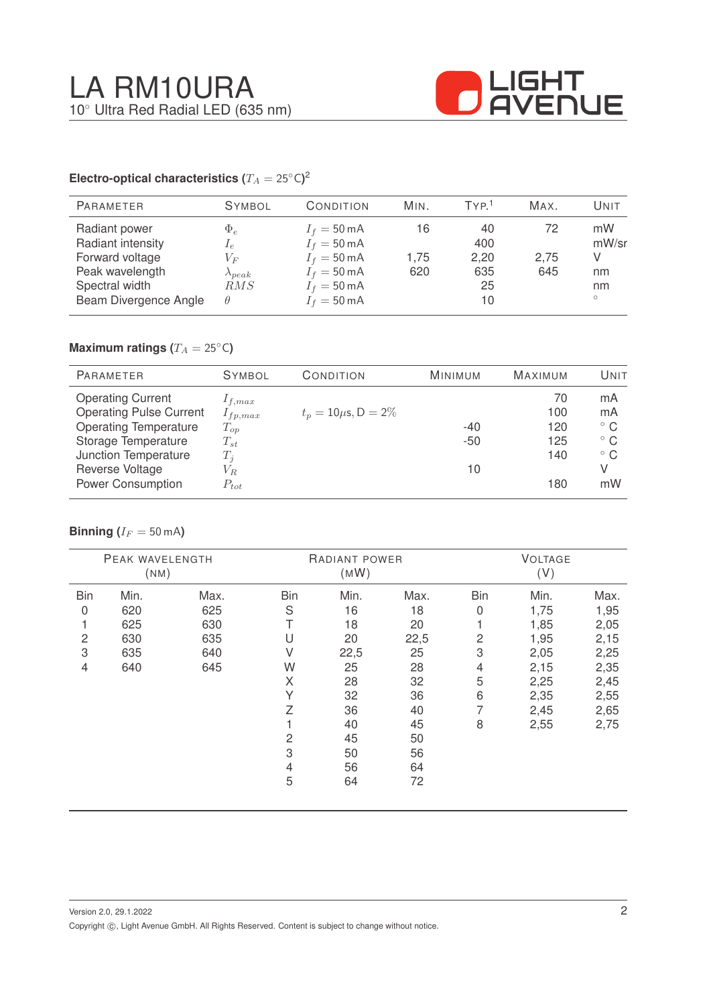

#### **Electro-optical characteristics (T\_A = 25^{\circ} \text{C}</math>)<sup>2</sup>**

| <b>PARAMETER</b>                                                                                                    | <b>SYMBOL</b>                                                     | CONDITION                                                                                                                                          | MIN.              | TYP <sup>1</sup>                     | MAX.              | Unit                               |
|---------------------------------------------------------------------------------------------------------------------|-------------------------------------------------------------------|----------------------------------------------------------------------------------------------------------------------------------------------------|-------------------|--------------------------------------|-------------------|------------------------------------|
| Radiant power<br>Radiant intensity<br>Forward voltage<br>Peak wavelength<br>Spectral width<br>Beam Divergence Angle | $\Phi_e$<br>$I_e$<br>$V_F$<br>$\lambda_{peak}$<br>RMS<br>$\theta$ | $I_f = 50 \text{ mA}$<br>$I_f = 50 \text{ mA}$<br>$I_f = 50 \text{ mA}$<br>$I_f = 50 \text{ mA}$<br>$I_f = 50 \text{ mA}$<br>$I_f = 50 \text{ mA}$ | 16<br>1.75<br>620 | 40<br>400<br>2,20<br>635<br>25<br>10 | 72<br>2,75<br>645 | mW<br>mW/sr<br>nm<br>nm<br>$\circ$ |

## **Maximum ratings (** $T_A = 25$ °C)

| <b>PARAMETER</b>               | <b>SYMBOL</b> | CONDITION                 | <b>MINIMUM</b> | <b>MAXIMUM</b> | UNIT         |
|--------------------------------|---------------|---------------------------|----------------|----------------|--------------|
| <b>Operating Current</b>       | $1_{f,max}$   |                           |                | 70             | mA           |
| <b>Operating Pulse Current</b> | $I_{fp,max}$  | $t_p = 10 \mu s$ , D = 2% |                | 100            | mA           |
| <b>Operating Temperature</b>   | $T_{op}$      |                           | $-40$          | 120            | $^{\circ}$ C |
| Storage Temperature            | $T_{st}$      |                           | $-50$          | 125            | $^{\circ}$ C |
| Junction Temperature           | $T_i$         |                           |                | 140            | $^{\circ}$ C |
| Reverse Voltage                | $V_{R}$       |                           | 10             |                | V            |
| <b>Power Consumption</b>       | $P_{tot}$     |                           |                | 180            | mW           |

#### **Binning** ( $I_F = 50$  mA)

| PEAK WAVELENGTH<br>(NM) |      | RADIANT POWER<br>(MW) |            |      | <b>VOLTAGE</b><br>(V) |                |      |      |
|-------------------------|------|-----------------------|------------|------|-----------------------|----------------|------|------|
| <b>Bin</b>              | Min. | Max.                  | <b>Bin</b> | Min. | Max.                  | <b>Bin</b>     | Min. | Max. |
| 0                       | 620  | 625                   | S          | 16   | 18                    | $\mathbf 0$    | 1,75 | 1,95 |
| 1                       | 625  | 630                   | Т          | 18   | 20                    |                | 1,85 | 2,05 |
| $\overline{c}$          | 630  | 635                   | U          | 20   | 22,5                  | $\overline{c}$ | 1,95 | 2,15 |
| 3                       | 635  | 640                   | V          | 22,5 | 25                    | 3              | 2,05 | 2,25 |
| 4                       | 640  | 645                   | W          | 25   | 28                    | 4              | 2,15 | 2,35 |
|                         |      |                       | X          | 28   | 32                    | 5              | 2,25 | 2,45 |
|                         |      |                       | Υ          | 32   | 36                    | 6              | 2,35 | 2,55 |
|                         |      |                       | Z          | 36   | 40                    | 7              | 2,45 | 2,65 |
|                         |      |                       |            | 40   | 45                    | 8              | 2,55 | 2,75 |
|                         |      |                       | 2          | 45   | 50                    |                |      |      |
|                         |      |                       | 3          | 50   | 56                    |                |      |      |
|                         |      |                       | 4          | 56   | 64                    |                |      |      |
|                         |      |                       | 5          | 64   | 72                    |                |      |      |
|                         |      |                       |            |      |                       |                |      |      |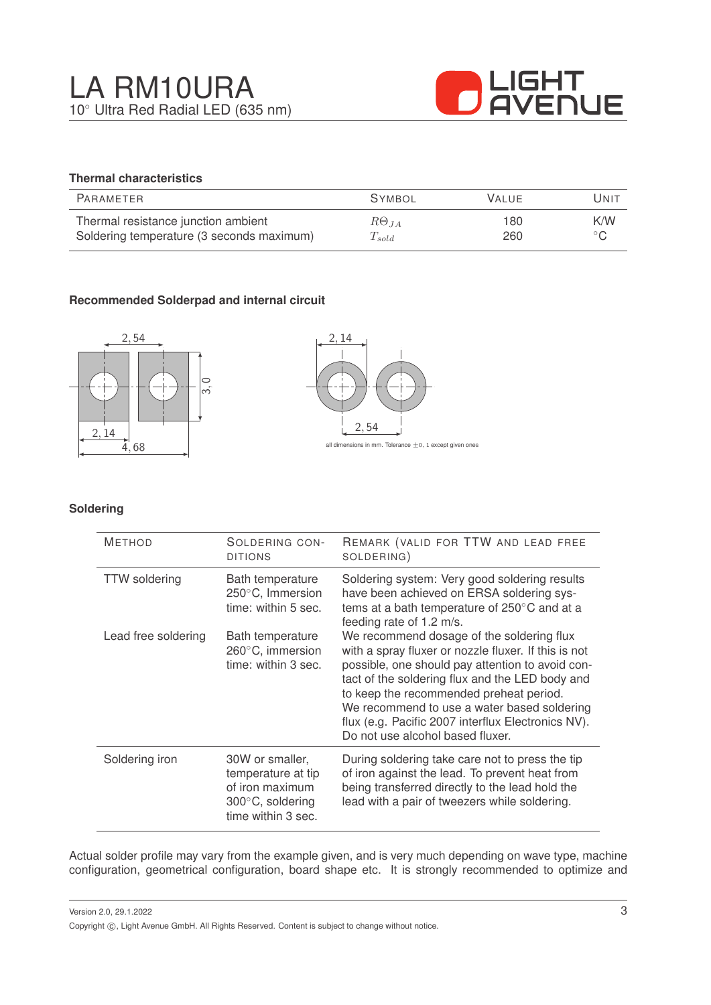

### **Thermal characteristics**

| PARAMETER                                 | <b>SYMBOL</b>        | <b>VALUE</b> | UNIT           |
|-------------------------------------------|----------------------|--------------|----------------|
| Thermal resistance junction ambient       | $R\Theta_{JA}$       | 180          | K/W            |
| Soldering temperature (3 seconds maximum) | $\mathcal{L}_{sold}$ | 260          | $\circ$ $\cap$ |

#### **Recommended Solderpad and internal circuit**





#### **Soldering**

| <b>METHOD</b>        | SOLDERING CON-<br><b>DITIONS</b>                                                                   | REMARK (VALID FOR TTW AND LEAD FREE<br>SOLDERING)                                                                                                                                                                                                                                                                                                                                            |
|----------------------|----------------------------------------------------------------------------------------------------|----------------------------------------------------------------------------------------------------------------------------------------------------------------------------------------------------------------------------------------------------------------------------------------------------------------------------------------------------------------------------------------------|
| <b>TTW</b> soldering | Bath temperature<br>250°C, Immersion<br>time: within 5 sec.                                        | Soldering system: Very good soldering results<br>have been achieved on ERSA soldering sys-<br>tems at a bath temperature of 250°C and at a<br>feeding rate of 1.2 m/s.                                                                                                                                                                                                                       |
| Lead free soldering  | Bath temperature<br>260°C, immersion<br>time: within 3 sec.                                        | We recommend dosage of the soldering flux<br>with a spray fluxer or nozzle fluxer. If this is not<br>possible, one should pay attention to avoid con-<br>tact of the soldering flux and the LED body and<br>to keep the recommended preheat period.<br>We recommend to use a water based soldering<br>flux (e.g. Pacific 2007 interflux Electronics NV).<br>Do not use alcohol based fluxer. |
| Soldering iron       | 30W or smaller,<br>temperature at tip<br>of iron maximum<br>300°C, soldering<br>time within 3 sec. | During soldering take care not to press the tip<br>of iron against the lead. To prevent heat from<br>being transferred directly to the lead hold the<br>lead with a pair of tweezers while soldering.                                                                                                                                                                                        |

Actual solder profile may vary from the example given, and is very much depending on wave type, machine configuration, geometrical configuration, board shape etc. It is strongly recommended to optimize and

Version 2.0, 29.1.2022 Copyright ©, Light Avenue GmbH. All Rights Reserved. Content is subject to change without notice.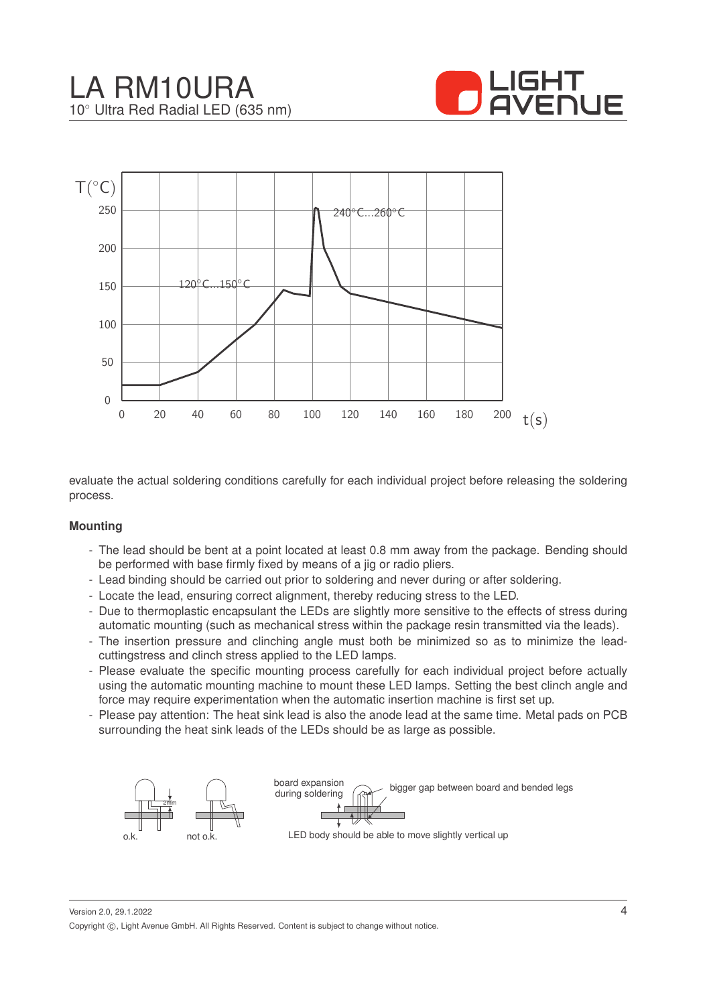



evaluate the actual soldering conditions carefully for each individual project before releasing the soldering process.

#### **Mounting**

- The lead should be bent at a point located at least 0.8 mm away from the package. Bending should be performed with base firmly fixed by means of a jig or radio pliers.
- Lead binding should be carried out prior to soldering and never during or after soldering.
- Locate the lead, ensuring correct alignment, thereby reducing stress to the LED.
- Due to thermoplastic encapsulant the LEDs are slightly more sensitive to the effects of stress during automatic mounting (such as mechanical stress within the package resin transmitted via the leads).
- The insertion pressure and clinching angle must both be minimized so as to minimize the leadcuttingstress and clinch stress applied to the LED lamps.
- Please evaluate the specific mounting process carefully for each individual project before actually using the automatic mounting machine to mount these LED lamps. Setting the best clinch angle and force may require experimentation when the automatic insertion machine is first set up.
- Please pay attention: The heat sink lead is also the anode lead at the same time. Metal pads on PCB surrounding the heat sink leads of the LEDs should be as large as possible.



Version 2.0, 29.1.2022 Copyright ©, Light Avenue GmbH. All Rights Reserved. Content is subject to change without notice.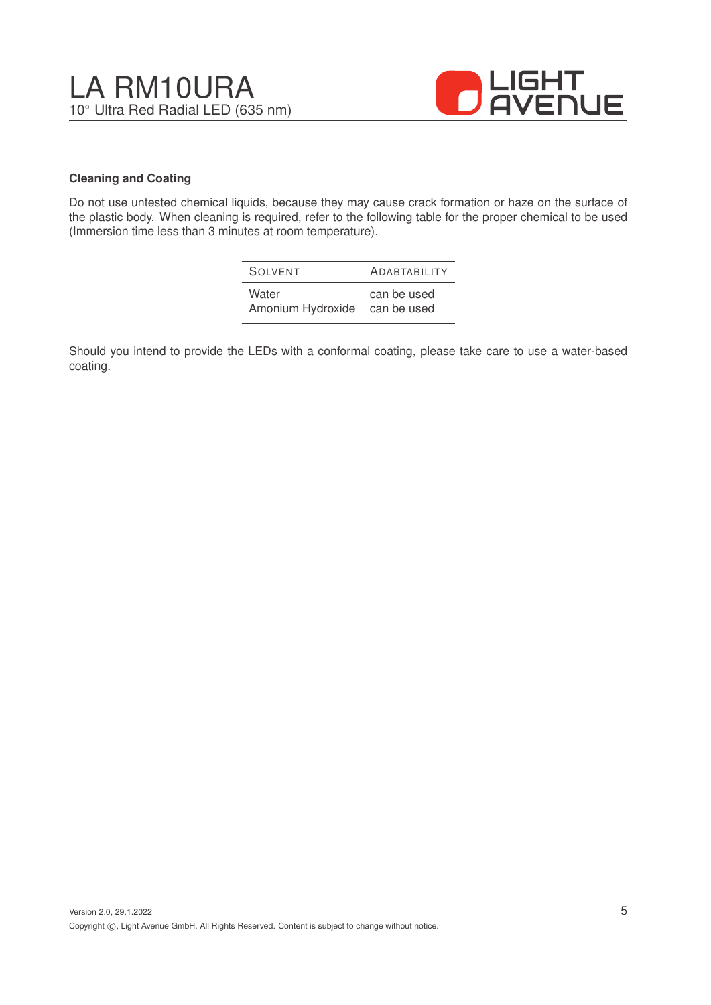

#### **Cleaning and Coating**

Do not use untested chemical liquids, because they may cause crack formation or haze on the surface of the plastic body. When cleaning is required, refer to the following table for the proper chemical to be used (Immersion time less than 3 minutes at room temperature).

| <b>SOLVENT</b>    | <b>ADABTABILITY</b> |
|-------------------|---------------------|
| Water             | can be used         |
| Amonium Hydroxide | can be used         |

Should you intend to provide the LEDs with a conformal coating, please take care to use a water-based coating.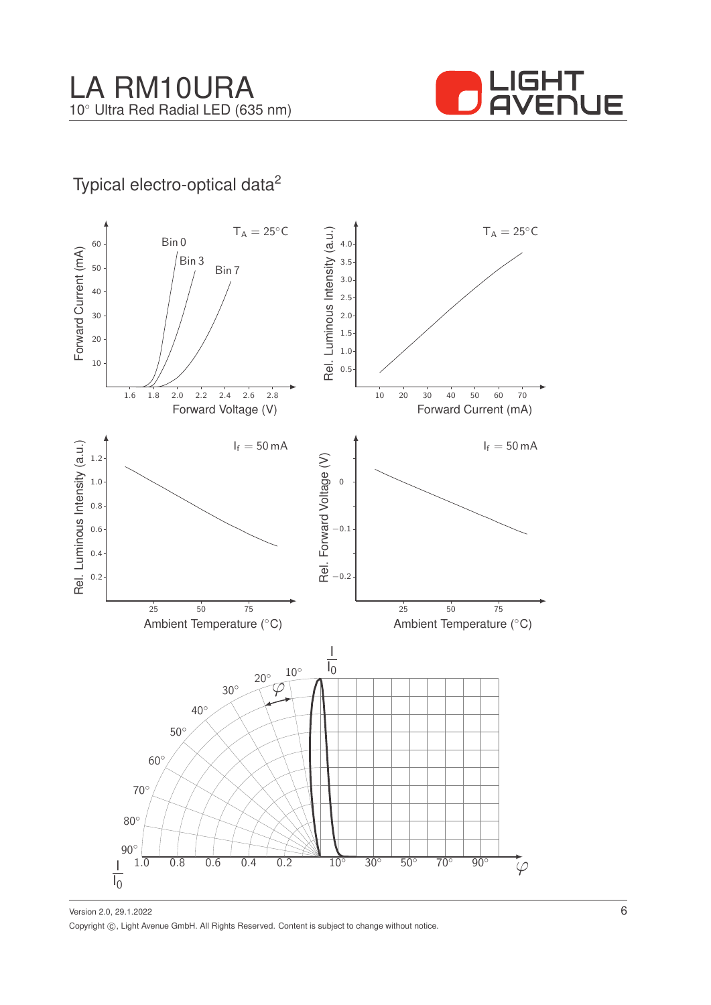

## Typical electro-optical data<sup>2</sup>



Version 2.0, 29.1.2022 Copyright ©, Light Avenue GmbH. All Rights Reserved. Content is subject to change without notice.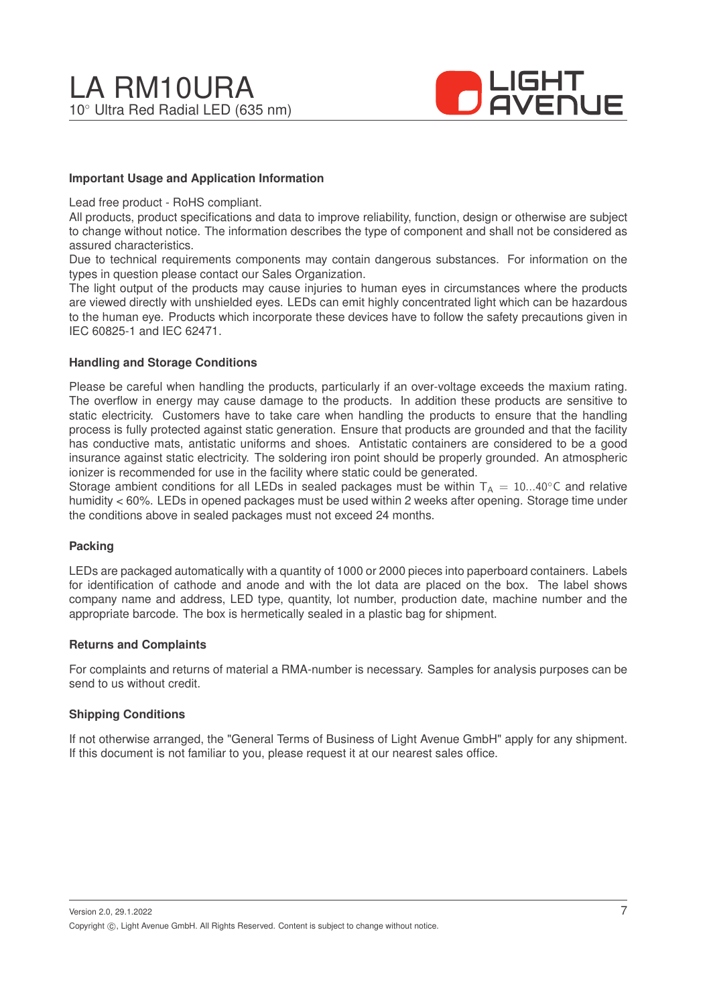

#### **Important Usage and Application Information**

Lead free product - RoHS compliant.

All products, product specifications and data to improve reliability, function, design or otherwise are subject to change without notice. The information describes the type of component and shall not be considered as assured characteristics.

Due to technical requirements components may contain dangerous substances. For information on the types in question please contact our Sales Organization.

The light output of the products may cause injuries to human eyes in circumstances where the products are viewed directly with unshielded eyes. LEDs can emit highly concentrated light which can be hazardous to the human eye. Products which incorporate these devices have to follow the safety precautions given in IEC 60825-1 and IEC 62471.

#### **Handling and Storage Conditions**

Please be careful when handling the products, particularly if an over-voltage exceeds the maxium rating. The overflow in energy may cause damage to the products. In addition these products are sensitive to static electricity. Customers have to take care when handling the products to ensure that the handling process is fully protected against static generation. Ensure that products are grounded and that the facility has conductive mats, antistatic uniforms and shoes. Antistatic containers are considered to be a good insurance against static electricity. The soldering iron point should be properly grounded. An atmospheric ionizer is recommended for use in the facility where static could be generated.

Storage ambient conditions for all LEDs in sealed packages must be within  $T_A = 10...40^\circ$ C and relative humidity < 60%. LEDs in opened packages must be used within 2 weeks after opening. Storage time under the conditions above in sealed packages must not exceed 24 months.

#### **Packing**

LEDs are packaged automatically with a quantity of 1000 or 2000 pieces into paperboard containers. Labels for identification of cathode and anode and with the lot data are placed on the box. The label shows company name and address, LED type, quantity, lot number, production date, machine number and the appropriate barcode. The box is hermetically sealed in a plastic bag for shipment.

#### **Returns and Complaints**

For complaints and returns of material a RMA-number is necessary. Samples for analysis purposes can be send to us without credit.

#### **Shipping Conditions**

If not otherwise arranged, the "General Terms of Business of Light Avenue GmbH" apply for any shipment. If this document is not familiar to you, please request it at our nearest sales office.